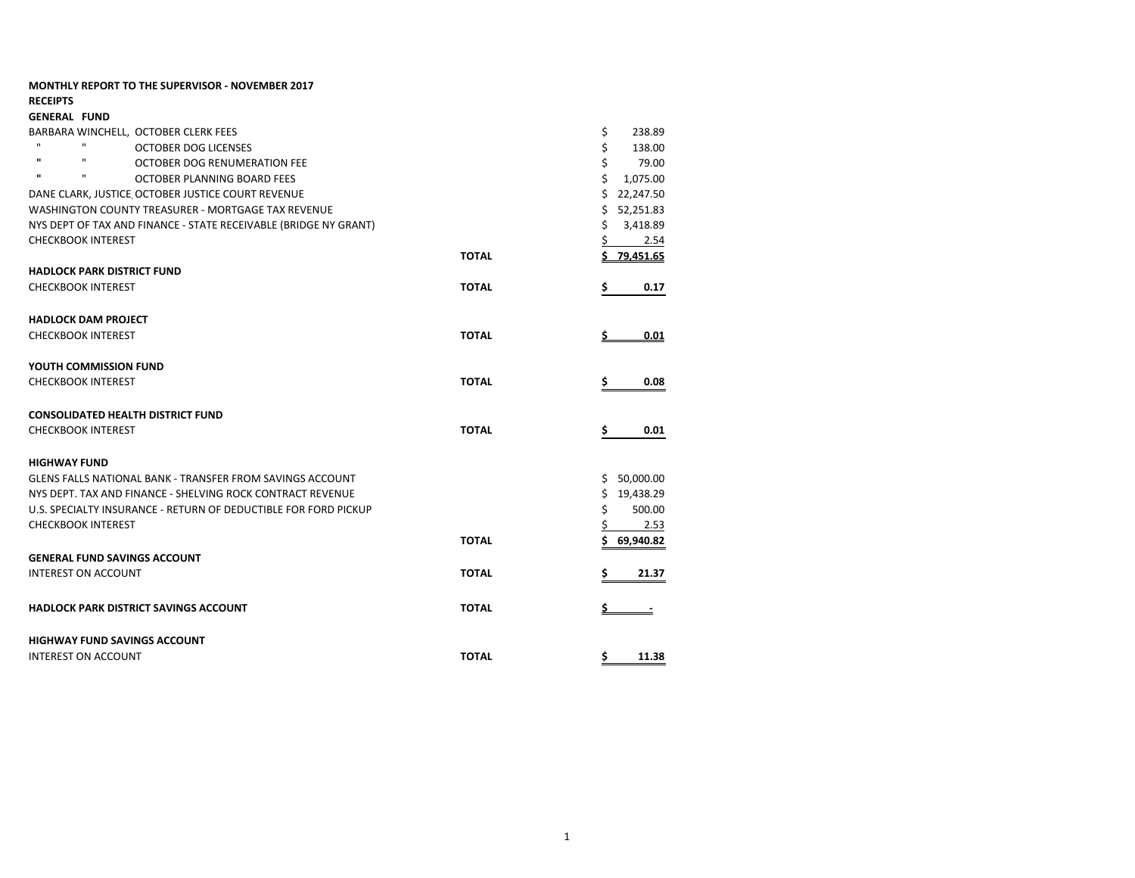| <b>RECEIPTS</b>                                                  |                |                |
|------------------------------------------------------------------|----------------|----------------|
| <b>GENERAL FUND</b>                                              |                |                |
| BARBARA WINCHELL, OCTOBER CLERK FEES                             | \$<br>238.89   |                |
| $\mathbf{H}$<br><b>OCTOBER DOG LICENSES</b>                      |                | \$<br>138.00   |
| $\mathbf{u}$<br>$\mathbf{u}$<br>OCTOBER DOG RENUMERATION FEE     |                | Ś<br>79.00     |
| $\mathbf{u}$<br>$\mathbf{u}$<br>OCTOBER PLANNING BOARD FEES      | Ś<br>1,075.00  |                |
| DANE CLARK, JUSTICE OCTOBER JUSTICE COURT REVENUE                | Ś<br>22,247.50 |                |
| WASHINGTON COUNTY TREASURER - MORTGAGE TAX REVENUE               | 52,251.83<br>Ś |                |
| NYS DEPT OF TAX AND FINANCE - STATE RECEIVABLE (BRIDGE NY GRANT) |                | Ś<br>3,418.89  |
| <b>CHECKBOOK INTEREST</b>                                        |                | 2.54           |
|                                                                  | <b>TOTAL</b>   | \$79.451.65    |
| <b>HADLOCK PARK DISTRICT FUND</b>                                |                |                |
| <b>CHECKBOOK INTEREST</b>                                        | <b>TOTAL</b>   | Ś<br>0.17      |
| <b>HADLOCK DAM PROJECT</b>                                       |                |                |
| <b>CHECKBOOK INTEREST</b>                                        | <b>TOTAL</b>   | 0.01           |
| YOUTH COMMISSION FUND                                            |                |                |
| <b>CHECKBOOK INTEREST</b>                                        | <b>TOTAL</b>   | 0.08<br>Ś      |
| <b>CONSOLIDATED HEALTH DISTRICT FUND</b>                         |                |                |
| <b>CHECKBOOK INTEREST</b>                                        | <b>TOTAL</b>   | 0.01<br>\$.    |
| <b>HIGHWAY FUND</b>                                              |                |                |
| GLENS FALLS NATIONAL BANK - TRANSFER FROM SAVINGS ACCOUNT        |                | 50,000.00<br>Ś |
| NYS DEPT. TAX AND FINANCE - SHELVING ROCK CONTRACT REVENUE       |                | Ś<br>19,438.29 |
| U.S. SPECIALTY INSURANCE - RETURN OF DEDUCTIBLE FOR FORD PICKUP  |                | Ś<br>500.00    |
| <b>CHECKBOOK INTEREST</b>                                        |                | 2.53           |
|                                                                  | <b>TOTAL</b>   | 69,940.82      |
| <b>GENERAL FUND SAVINGS ACCOUNT</b>                              |                |                |
| <b>INTEREST ON ACCOUNT</b>                                       | <b>TOTAL</b>   | 21.37          |
| HADLOCK PARK DISTRICT SAVINGS ACCOUNT                            | <b>TOTAL</b>   | \$             |
| <b>HIGHWAY FUND SAVINGS ACCOUNT</b>                              |                |                |
| <b>INTEREST ON ACCOUNT</b>                                       | <b>TOTAL</b>   | \$<br>11.38    |

**MONTHLY REPORT TO THE SUPERVISOR - NOVEMBER 2017**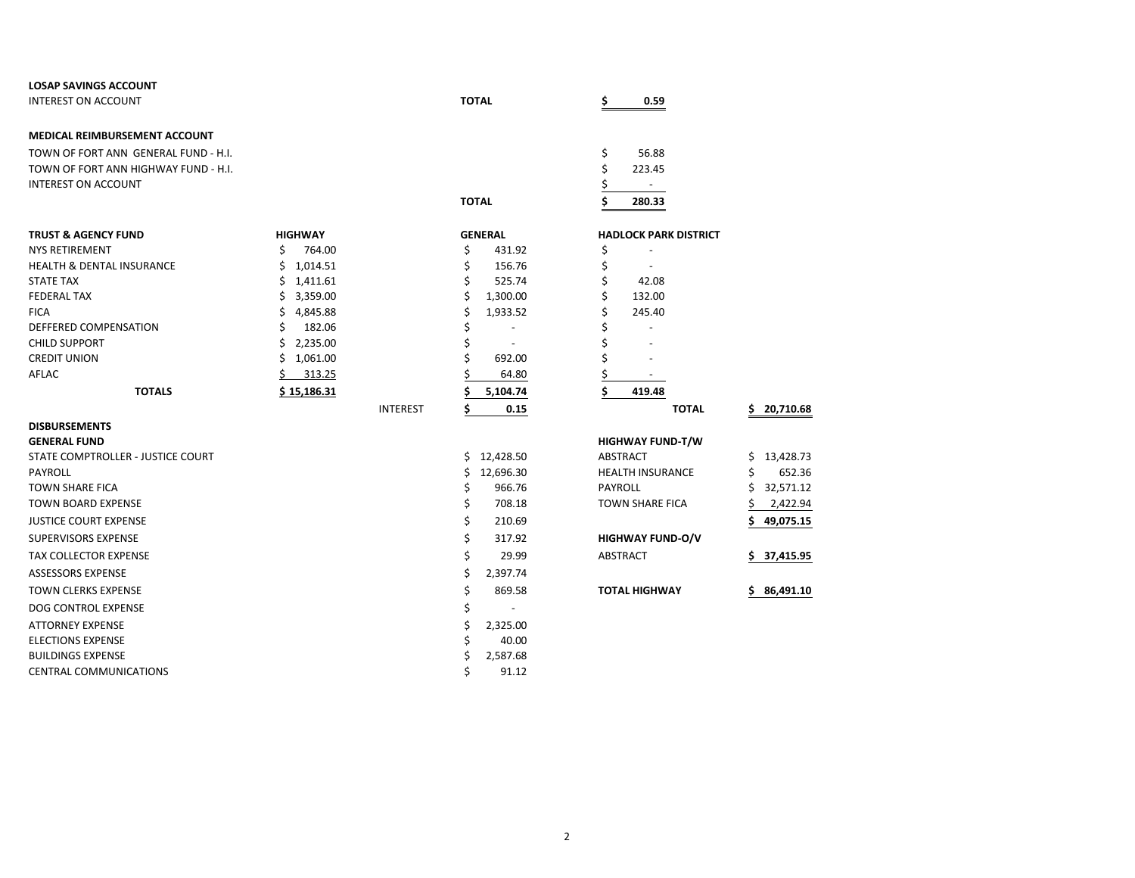| <b>LOSAP SAVINGS ACCOUNT</b>         |                |                 |              |                |    |                              |                  |
|--------------------------------------|----------------|-----------------|--------------|----------------|----|------------------------------|------------------|
| <b>INTEREST ON ACCOUNT</b>           |                |                 | <b>TOTAL</b> |                |    | 0.59                         |                  |
| <b>MEDICAL REIMBURSEMENT ACCOUNT</b> |                |                 |              |                |    |                              |                  |
| TOWN OF FORT ANN GENERAL FUND - H.I. |                |                 |              |                | \$ | 56.88                        |                  |
| TOWN OF FORT ANN HIGHWAY FUND - H.I. |                |                 |              |                | \$ | 223.45                       |                  |
| <b>INTEREST ON ACCOUNT</b>           |                |                 |              |                |    | $\overline{\phantom{a}}$     |                  |
|                                      |                |                 | <b>TOTAL</b> |                |    | 280.33                       |                  |
| <b>TRUST &amp; AGENCY FUND</b>       | <b>HIGHWAY</b> |                 |              | <b>GENERAL</b> |    | <b>HADLOCK PARK DISTRICT</b> |                  |
| <b>NYS RETIREMENT</b>                | Ŝ<br>764.00    |                 | \$           | 431.92         | \$ |                              |                  |
| <b>HEALTH &amp; DENTAL INSURANCE</b> | 1,014.51<br>Ś. |                 | Ś            | 156.76         | \$ |                              |                  |
| <b>STATE TAX</b>                     | Ś.<br>1,411.61 |                 | Ś.           | 525.74         | \$ | 42.08                        |                  |
| <b>FEDERAL TAX</b>                   | Ś.<br>3,359.00 |                 | \$           | 1,300.00       | \$ | 132.00                       |                  |
| <b>FICA</b>                          | 4,845.88<br>\$ |                 | \$           | 1,933.52       |    | 245.40                       |                  |
| DEFFERED COMPENSATION                | Ś<br>182.06    |                 |              |                |    |                              |                  |
| <b>CHILD SUPPORT</b>                 | 2,235.00<br>Ś. |                 | \$           |                |    |                              |                  |
| <b>CREDIT UNION</b>                  | Ś.<br>1,061.00 |                 |              | 692.00         |    |                              |                  |
| AFLAC                                | 313.25         |                 |              | 64.80          |    |                              |                  |
| <b>TOTALS</b>                        | \$15,186.31    |                 |              | 5,104.74       | Ś  | 419.48                       |                  |
|                                      |                | <b>INTEREST</b> | \$           | 0.15           |    | <b>TOTAL</b>                 | 20,710.68<br>S.  |
| <b>DISBURSEMENTS</b>                 |                |                 |              |                |    |                              |                  |
| <b>GENERAL FUND</b>                  |                |                 |              |                |    | <b>HIGHWAY FUND-T/W</b>      |                  |
| STATE COMPTROLLER - JUSTICE COURT    |                |                 | Ś.           | 12,428.50      |    | <b>ABSTRACT</b>              | 13,428.73<br>S   |
| <b>PAYROLL</b>                       |                |                 | Ś.           | 12,696.30      |    | <b>HEALTH INSURANCE</b>      | Ś<br>652.36      |
| <b>TOWN SHARE FICA</b>               |                |                 | \$           | 966.76         |    | <b>PAYROLL</b>               | Ś<br>32,571.12   |
| <b>TOWN BOARD EXPENSE</b>            |                |                 | \$           | 708.18         |    | <b>TOWN SHARE FICA</b>       | 2,422.94         |
| <b>JUSTICE COURT EXPENSE</b>         |                |                 | \$           | 210.69         |    |                              | 49,075.15        |
| <b>SUPERVISORS EXPENSE</b>           |                |                 | \$           | 317.92         |    | <b>HIGHWAY FUND-O/V</b>      |                  |
| <b>TAX COLLECTOR EXPENSE</b>         |                |                 | Ś            | 29.99          |    | <b>ABSTRACT</b>              | \$.<br>37,415.95 |
| <b>ASSESSORS EXPENSE</b>             |                |                 | \$           | 2,397.74       |    |                              |                  |
| <b>TOWN CLERKS EXPENSE</b>           |                |                 | \$           | 869.58         |    | <b>TOTAL HIGHWAY</b>         | 86,491.10<br>S.  |
| DOG CONTROL EXPENSE                  |                |                 | \$           | $\sim$         |    |                              |                  |
| <b>ATTORNEY EXPENSE</b>              |                |                 | \$           | 2,325.00       |    |                              |                  |
| <b>ELECTIONS EXPENSE</b>             |                |                 | Ś            | 40.00          |    |                              |                  |
| <b>BUILDINGS EXPENSE</b>             |                |                 | Ś            | 2,587.68       |    |                              |                  |
| <b>CENTRAL COMMUNICATIONS</b>        |                |                 | Ś            | 91.12          |    |                              |                  |

| \$        |                         |              |     |         |
|-----------|-------------------------|--------------|-----|---------|
| \$        |                         |              |     |         |
| <u>\$</u> |                         |              |     |         |
| \$        | 419.48                  |              |     |         |
|           |                         | <b>TOTAL</b> | \$. | 20,710. |
|           | <b>HIGHWAY FUND-T/W</b> |              |     |         |
|           | <b>ABSTRACT</b>         |              | Ś   | 13,428. |
|           | <b>HEALTH INSURANCE</b> |              | \$  | 652.    |
|           | PAYROLL                 |              | Ś   | 32,571. |
|           | <b>TOWN SHARE FICA</b>  |              | \$  | 2,422.  |
|           |                         |              | \$  | 49,075. |
|           | <b>HIGHWAY FUND-O/V</b> |              |     |         |
|           | <b>ABSTRACT</b>         |              | \$  | 37,415. |
|           |                         |              |     |         |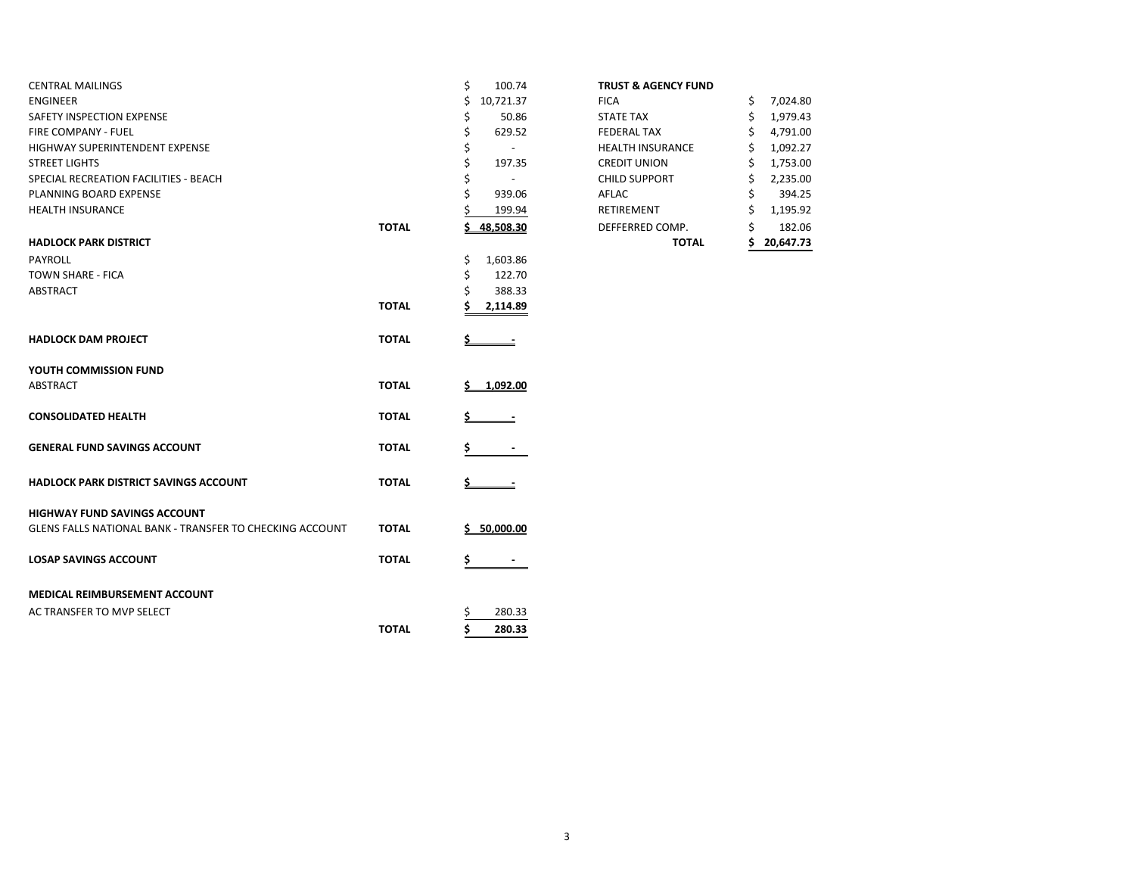| <b>CENTRAL MAILINGS</b>                                  |              | \$<br>100.74   | <b>TRUST &amp; AGENCY FUND</b> |                |
|----------------------------------------------------------|--------------|----------------|--------------------------------|----------------|
| <b>ENGINEER</b>                                          |              | 10,721.37      | <b>FICA</b>                    | 7,024.80<br>\$ |
| SAFETY INSPECTION EXPENSE                                |              | 50.86<br>\$    | <b>STATE TAX</b>               | 1,979.43<br>\$ |
| FIRE COMPANY - FUEL                                      |              | \$<br>629.52   | <b>FEDERAL TAX</b>             | 4,791.00       |
| HIGHWAY SUPERINTENDENT EXPENSE                           |              | \$<br>$\sim$   | <b>HEALTH INSURANCE</b>        | 1,092.27       |
| <b>STREET LIGHTS</b>                                     |              | Ś<br>197.35    | <b>CREDIT UNION</b>            | 1,753.00       |
| SPECIAL RECREATION FACILITIES - BEACH                    |              |                | <b>CHILD SUPPORT</b>           | 2,235.00<br>S  |
| PLANNING BOARD EXPENSE                                   |              | 939.06         | AFLAC                          | 394.25         |
| <b>HEALTH INSURANCE</b>                                  |              | 199.94         | RETIREMENT                     | 1,195.92       |
|                                                          | <b>TOTAL</b> | 48,508.30      | DEFFERRED COMP.                | Ś<br>182.06    |
| <b>HADLOCK PARK DISTRICT</b>                             |              |                | <b>TOTAL</b>                   | 20,647.73      |
| PAYROLL                                                  |              | 1,603.86<br>\$ |                                |                |
| <b>TOWN SHARE - FICA</b>                                 |              | 122.70<br>Ś    |                                |                |
| <b>ABSTRACT</b>                                          |              | 388.33         |                                |                |
|                                                          | <b>TOTAL</b> | 2,114.89       |                                |                |
| <b>HADLOCK DAM PROJECT</b>                               | <b>TOTAL</b> |                |                                |                |
| YOUTH COMMISSION FUND                                    |              |                |                                |                |
| <b>ABSTRACT</b>                                          | <b>TOTAL</b> | 1.092.00       |                                |                |
| <b>CONSOLIDATED HEALTH</b>                               | <b>TOTAL</b> |                |                                |                |
| <b>GENERAL FUND SAVINGS ACCOUNT</b>                      | <b>TOTAL</b> | \$             |                                |                |
| HADLOCK PARK DISTRICT SAVINGS ACCOUNT                    | <b>TOTAL</b> |                |                                |                |
| <b>HIGHWAY FUND SAVINGS ACCOUNT</b>                      |              |                |                                |                |
| GLENS FALLS NATIONAL BANK - TRANSFER TO CHECKING ACCOUNT | <b>TOTAL</b> | 50,000.00<br>s |                                |                |
| <b>LOSAP SAVINGS ACCOUNT</b>                             | <b>TOTAL</b> | \$<br>$\sim$   |                                |                |
| <b>MEDICAL REIMBURSEMENT ACCOUNT</b>                     |              |                |                                |                |
| AC TRANSFER TO MVP SELECT                                |              | 280.33         |                                |                |
|                                                          | <b>TOTAL</b> | Ś<br>280.33    |                                |                |
|                                                          |              |                |                                |                |

## **TRUST & AGENCY FUND**

|       |              | TOTAL                   | 20,647.73      |
|-------|--------------|-------------------------|----------------|
| TOTAL | 48,508.30    | DEFFERRED COMP.         | \$<br>182.06   |
|       | \$<br>199.94 | <b>RETIREMENT</b>       | \$<br>1,195.92 |
|       | \$<br>939.06 | AFLAC                   | \$<br>394.25   |
|       | \$           | <b>CHILD SUPPORT</b>    | \$<br>2,235.00 |
|       | \$<br>197.35 | <b>CREDIT UNION</b>     | \$<br>1,753.00 |
|       | \$           | <b>HEALTH INSURANCE</b> | \$<br>1,092.27 |
|       | \$<br>629.52 | <b>FEDERAL TAX</b>      | \$<br>4,791.00 |
|       | \$<br>50.86  | <b>STATE TAX</b>        | \$<br>1,979.43 |
|       | 10,721.37    | <b>FICA</b>             | \$<br>7,024.80 |